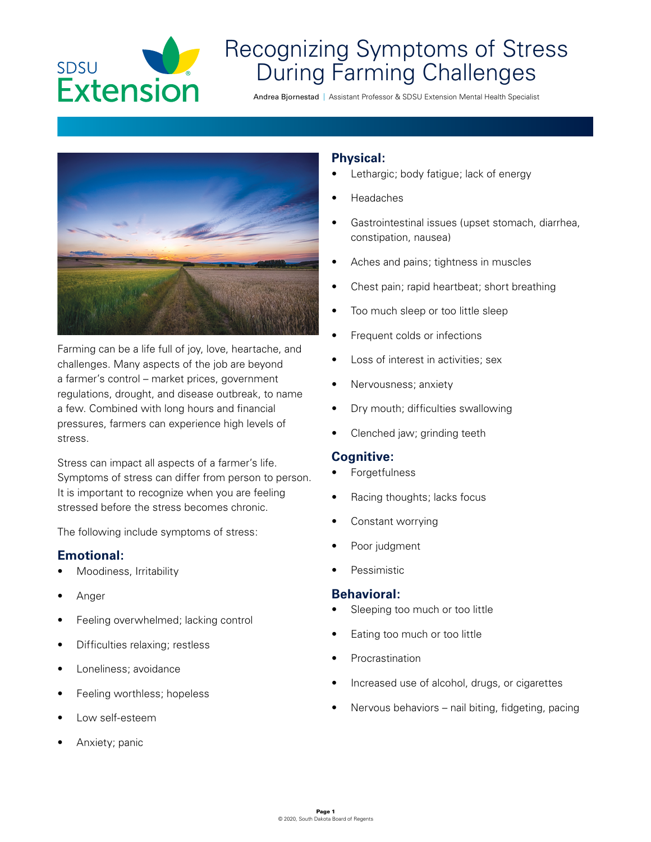

# Recognizing Symptoms of Stress During Farming Challenges

Andrea Bjornestad | Assistant Professor & SDSU Extension Mental Health Specialist



Farming can be a life full of joy, love, heartache, and challenges. Many aspects of the job are beyond a farmer's control – market prices, government regulations, drought, and disease outbreak, to name a few. Combined with long hours and financial pressures, farmers can experience high levels of stress.

Stress can impact all aspects of a farmer's life. Symptoms of stress can differ from person to person. It is important to recognize when you are feeling stressed before the stress becomes chronic.

The following include symptoms of stress:

## **Emotional:**

- Moodiness, Irritability
- Anger
- Feeling overwhelmed; lacking control
- Difficulties relaxing; restless
- Loneliness; avoidance
- Feeling worthless; hopeless
- Low self-esteem
- Anxiety; panic

## **Physical:**

- Lethargic; body fatigue; lack of energy
- Headaches
- Gastrointestinal issues (upset stomach, diarrhea, constipation, nausea)
- Aches and pains; tightness in muscles
- Chest pain; rapid heartbeat; short breathing
- Too much sleep or too little sleep
- Frequent colds or infections
- Loss of interest in activities; sex
- Nervousness; anxiety
- Dry mouth; difficulties swallowing
- Clenched jaw; grinding teeth

### **Cognitive:**

- **Forgetfulness**
- Racing thoughts; lacks focus
- Constant worrying
- Poor judgment
- Pessimistic

### **Behavioral:**

- Sleeping too much or too little
- Eating too much or too little
- **Procrastination**
- Increased use of alcohol, drugs, or cigarettes
- Nervous behaviors nail biting, fidgeting, pacing